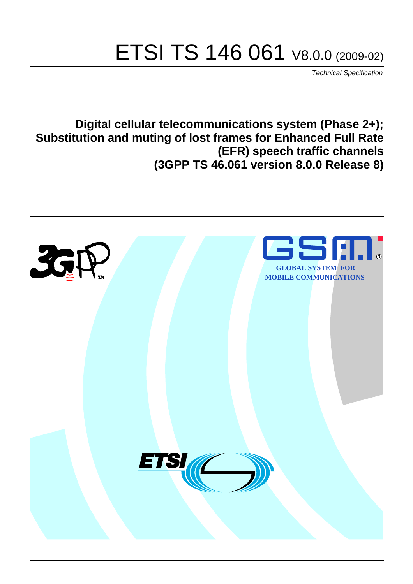# ETSI TS 146 061 V8.0.0 (2009-02)

*Technical Specification*

**Digital cellular telecommunications system (Phase 2+); Substitution and muting of lost frames for Enhanced Full Rate (EFR) speech traffic channels (3GPP TS 46.061 version 8.0.0 Release 8)**

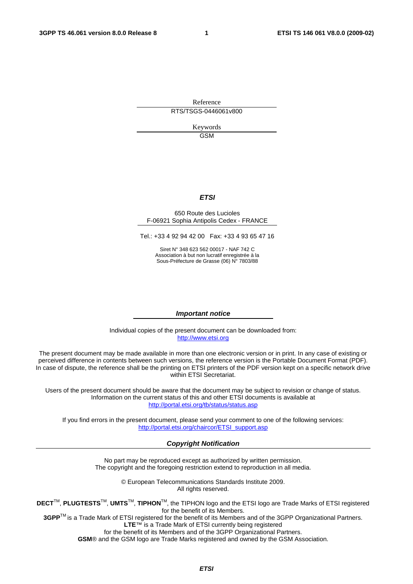Reference RTS/TSGS-0446061v800

> Keywords GSM

### *ETSI*

#### 650 Route des Lucioles F-06921 Sophia Antipolis Cedex - FRANCE

Tel.: +33 4 92 94 42 00 Fax: +33 4 93 65 47 16

Siret N° 348 623 562 00017 - NAF 742 C Association à but non lucratif enregistrée à la Sous-Préfecture de Grasse (06) N° 7803/88

#### *Important notice*

Individual copies of the present document can be downloaded from: [http://www.etsi.org](http://www.etsi.org/)

The present document may be made available in more than one electronic version or in print. In any case of existing or perceived difference in contents between such versions, the reference version is the Portable Document Format (PDF). In case of dispute, the reference shall be the printing on ETSI printers of the PDF version kept on a specific network drive within ETSI Secretariat.

Users of the present document should be aware that the document may be subject to revision or change of status. Information on the current status of this and other ETSI documents is available at <http://portal.etsi.org/tb/status/status.asp>

If you find errors in the present document, please send your comment to one of the following services: [http://portal.etsi.org/chaircor/ETSI\\_support.asp](http://portal.etsi.org/chaircor/ETSI_support.asp)

### *Copyright Notification*

No part may be reproduced except as authorized by written permission. The copyright and the foregoing restriction extend to reproduction in all media.

> © European Telecommunications Standards Institute 2009. All rights reserved.

**DECT**TM, **PLUGTESTS**TM, **UMTS**TM, **TIPHON**TM, the TIPHON logo and the ETSI logo are Trade Marks of ETSI registered for the benefit of its Members.

**3GPP**TM is a Trade Mark of ETSI registered for the benefit of its Members and of the 3GPP Organizational Partners. **LTE**™ is a Trade Mark of ETSI currently being registered

for the benefit of its Members and of the 3GPP Organizational Partners.

**GSM**® and the GSM logo are Trade Marks registered and owned by the GSM Association.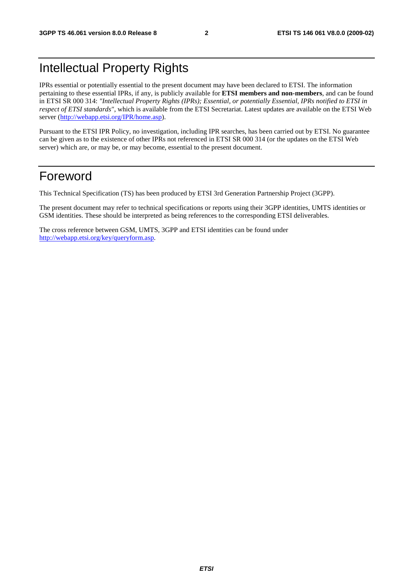# Intellectual Property Rights

IPRs essential or potentially essential to the present document may have been declared to ETSI. The information pertaining to these essential IPRs, if any, is publicly available for **ETSI members and non-members**, and can be found in ETSI SR 000 314: *"Intellectual Property Rights (IPRs); Essential, or potentially Essential, IPRs notified to ETSI in respect of ETSI standards"*, which is available from the ETSI Secretariat. Latest updates are available on the ETSI Web server ([http://webapp.etsi.org/IPR/home.asp\)](http://webapp.etsi.org/IPR/home.asp).

Pursuant to the ETSI IPR Policy, no investigation, including IPR searches, has been carried out by ETSI. No guarantee can be given as to the existence of other IPRs not referenced in ETSI SR 000 314 (or the updates on the ETSI Web server) which are, or may be, or may become, essential to the present document.

# Foreword

This Technical Specification (TS) has been produced by ETSI 3rd Generation Partnership Project (3GPP).

The present document may refer to technical specifications or reports using their 3GPP identities, UMTS identities or GSM identities. These should be interpreted as being references to the corresponding ETSI deliverables.

The cross reference between GSM, UMTS, 3GPP and ETSI identities can be found under [http://webapp.etsi.org/key/queryform.asp.](http://webapp.etsi.org/key/queryform.asp)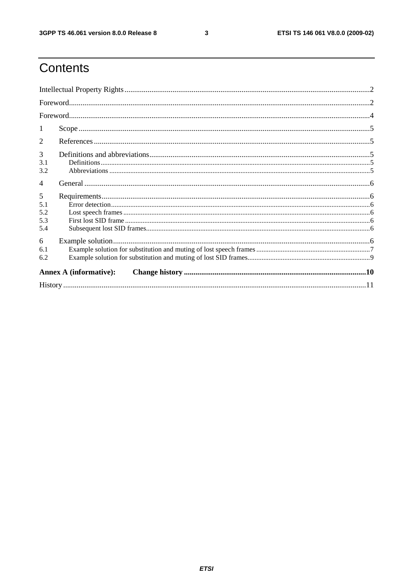$\mathbf{3}$ 

# Contents

| 1                             |                               |  |
|-------------------------------|-------------------------------|--|
| $\overline{2}$                |                               |  |
| 3<br>3.1<br>3.2               |                               |  |
| $\overline{4}$                |                               |  |
| 5<br>5.1<br>5.2<br>5.3<br>5.4 |                               |  |
| 6<br>6.1<br>6.2               |                               |  |
|                               | <b>Annex A (informative):</b> |  |
|                               |                               |  |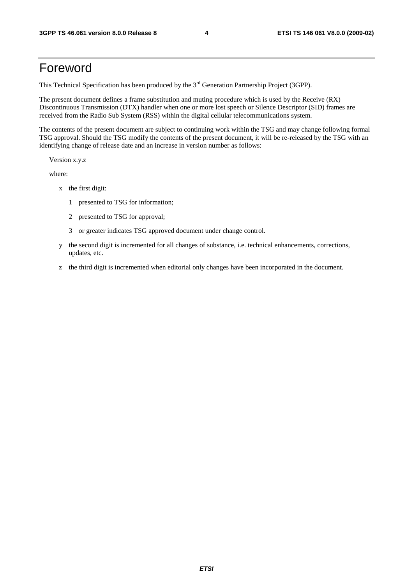# Foreword

This Technical Specification has been produced by the 3<sup>rd</sup> Generation Partnership Project (3GPP).

The present document defines a frame substitution and muting procedure which is used by the Receive (RX) Discontinuous Transmission (DTX) handler when one or more lost speech or Silence Descriptor (SID) frames are received from the Radio Sub System (RSS) within the digital cellular telecommunications system.

The contents of the present document are subject to continuing work within the TSG and may change following formal TSG approval. Should the TSG modify the contents of the present document, it will be re-released by the TSG with an identifying change of release date and an increase in version number as follows:

Version x.y.z

where:

- x the first digit:
	- 1 presented to TSG for information;
	- 2 presented to TSG for approval;
	- 3 or greater indicates TSG approved document under change control.
- y the second digit is incremented for all changes of substance, i.e. technical enhancements, corrections, updates, etc.
- z the third digit is incremented when editorial only changes have been incorporated in the document.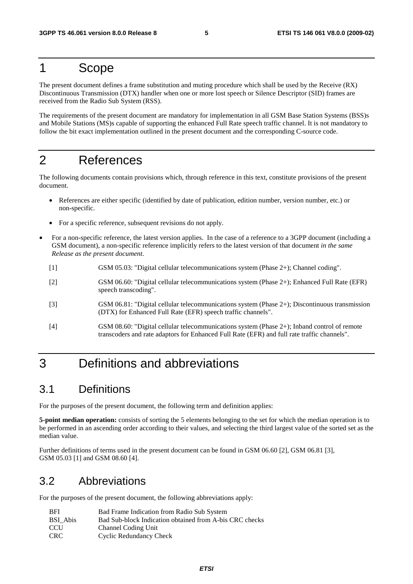# 1 Scope

The present document defines a frame substitution and muting procedure which shall be used by the Receive (RX) Discontinuous Transmission (DTX) handler when one or more lost speech or Silence Descriptor (SID) frames are received from the Radio Sub System (RSS).

The requirements of the present document are mandatory for implementation in all GSM Base Station Systems (BSS)s and Mobile Stations (MS)s capable of supporting the enhanced Full Rate speech traffic channel. It is not mandatory to follow the bit exact implementation outlined in the present document and the corresponding C-source code.

# 2 References

The following documents contain provisions which, through reference in this text, constitute provisions of the present document.

- References are either specific (identified by date of publication, edition number, version number, etc.) or non-specific.
- For a specific reference, subsequent revisions do not apply.
- For a non-specific reference, the latest version applies. In the case of a reference to a 3GPP document (including a GSM document), a non-specific reference implicitly refers to the latest version of that document *in the same Release as the present document*.
	- [1] GSM 05.03: "Digital cellular telecommunications system (Phase 2+); Channel coding".
	- [2] GSM 06.60: "Digital cellular telecommunications system (Phase 2+); Enhanced Full Rate (EFR) speech transcoding".
	- [3] GSM 06.81: "Digital cellular telecommunications system (Phase 2+); Discontinuous transmission (DTX) for Enhanced Full Rate (EFR) speech traffic channels".
	- [4] GSM 08.60: "Digital cellular telecommunications system (Phase 2+); Inband control of remote transcoders and rate adaptors for Enhanced Full Rate (EFR) and full rate traffic channels".

# 3 Definitions and abbreviations

# 3.1 Definitions

For the purposes of the present document, the following term and definition applies:

**5-point median operation:** consists of sorting the 5 elements belonging to the set for which the median operation is to be performed in an ascending order according to their values, and selecting the third largest value of the sorted set as the median value.

Further definitions of terms used in the present document can be found in GSM 06.60 [2], GSM 06.81 [3], GSM 05.03 [1] and GSM 08.60 [4].

# 3.2 Abbreviations

For the purposes of the present document, the following abbreviations apply:

| <b>BFI</b> | Bad Frame Indication from Radio Sub System              |
|------------|---------------------------------------------------------|
| BSI Abis   | Bad Sub-block Indication obtained from A-bis CRC checks |
| <b>CCU</b> | Channel Coding Unit                                     |
| CRC.       | <b>Cyclic Redundancy Check</b>                          |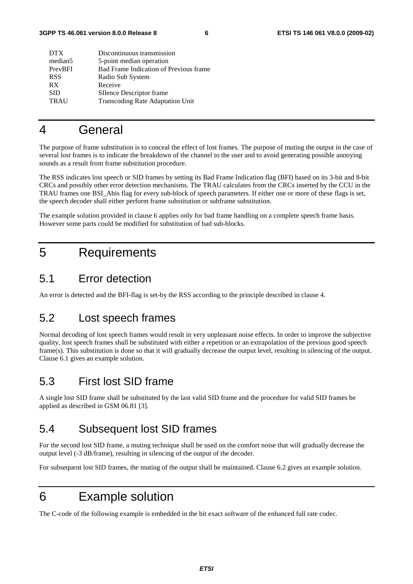| <b>DTX</b>          | Discontinuous transmission              |
|---------------------|-----------------------------------------|
| median <sub>5</sub> | 5-point median operation                |
| PrevBFI             | Bad Frame Indication of Previous frame  |
| <b>RSS</b>          | Radio Sub System                        |
| <b>RX</b>           | Receive                                 |
| <b>SID</b>          | SIlence Descriptor frame                |
| <b>TRAU</b>         | <b>Transcoding Rate Adaptation Unit</b> |
|                     |                                         |

# 4 General

The purpose of frame substitution is to conceal the effect of lost frames. The purpose of muting the output in the case of several lost frames is to indicate the breakdown of the channel to the user and to avoid generating possible annoying sounds as a result from frame substitution procedure.

The RSS indicates lost speech or SID frames by setting its Bad Frame Indication flag (BFI) based on its 3-bit and 8-bit CRCs and possibly other error detection mechanisms. The TRAU calculates from the CRCs inserted by the CCU in the TRAU frames one BSI\_Abis flag for every sub-block of speech parameters. If either one or more of these flags is set, the speech decoder shall either perform frame substitution or subframe substitution.

The example solution provided in clause 6 applies only for bad frame handling on a complete speech frame basis. However some parts could be modified for substitution of bad sub-blocks.

# 5 Requirements

## 5.1 Error detection

An error is detected and the BFI-flag is set-by the RSS according to the principle described in clause 4.

# 5.2 Lost speech frames

Normal decoding of lost speech frames would result in very unpleasant noise effects. In order to improve the subjective quality, lost speech frames shall be substituted with either a repetition or an extrapolation of the previous good speech frame(s). This substitution is done so that it will gradually decrease the output level, resulting in silencing of the output. Clause 6.1 gives an example solution.

# 5.3 First lost SID frame

A single lost SID frame shall be substituted by the last valid SID frame and the procedure for valid SID frames be applied as described in GSM 06.81 [3].

# 5.4 Subsequent lost SID frames

For the second lost SID frame, a muting technique shall be used on the comfort noise that will gradually decrease the output level (-3 dB/frame), resulting in silencing of the output of the decoder.

For subsequent lost SID frames, the muting of the output shall be maintained. Clause 6.2 gives an example solution.

# 6 Example solution

The C-code of the following example is embedded in the bit exact software of the enhanced full rate codec.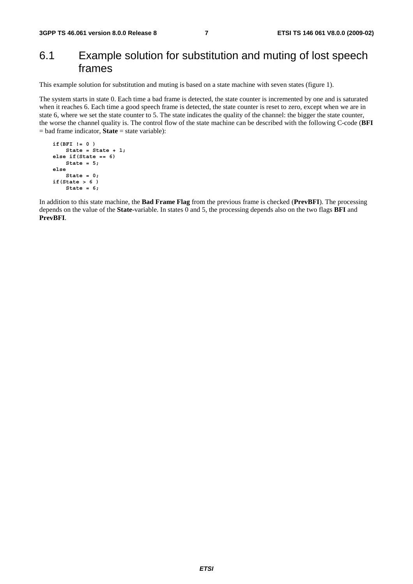# 6.1 Example solution for substitution and muting of lost speech frames

This example solution for substitution and muting is based on a state machine with seven states (figure 1).

The system starts in state 0. Each time a bad frame is detected, the state counter is incremented by one and is saturated when it reaches 6. Each time a good speech frame is detected, the state counter is reset to zero, except when we are in state 6, where we set the state counter to 5. The state indicates the quality of the channel: the bigger the state counter, the worse the channel quality is. The control flow of the state machine can be described with the following C-code (**BFI** = bad frame indicator, **State** = state variable):

```
 if(BFI != 0 ) 
    State = State + 1; 
else if(State == 6) 
    State = 5; 
else 
    State = 0; 
if(State > 6 ) 
    State = 6;
```
In addition to this state machine, the **Bad Frame Flag** from the previous frame is checked (**PrevBFI**). The processing depends on the value of the **State**-variable. In states 0 and 5, the processing depends also on the two flags **BFI** and **PrevBFI**.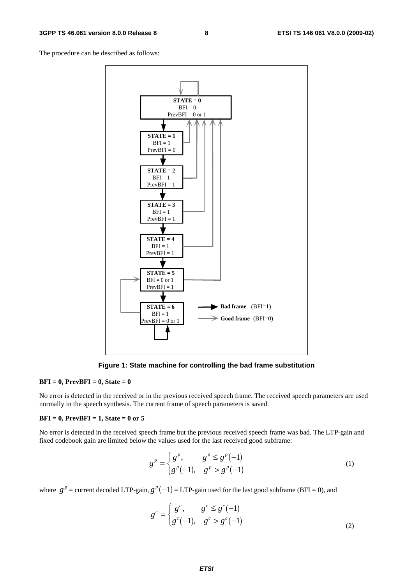The procedure can be described as follows:



**Figure 1: State machine for controlling the bad frame substitution** 

#### **BFI = 0, PrevBFI = 0, State = 0**

No error is detected in the received or in the previous received speech frame. The received speech parameters are used normally in the speech synthesis. The current frame of speech parameters is saved.

#### **BFI = 0, PrevBFI = 1, State = 0 or 5**

No error is detected in the received speech frame but the previous received speech frame was bad. The LTP-gain and fixed codebook gain are limited below the values used for the last received good subframe:

$$
g^{p} = \begin{cases} g^{p}, & g^{p} \le g^{p}(-1) \\ g^{p}(-1), & g^{p} > g^{p}(-1) \end{cases}
$$
 (1)

where  $g^p$  = current decoded LTP-gain,  $g^p(-1)$  = LTP-gain used for the last good subframe (BFI = 0), and

$$
g^{c} = \begin{cases} g^{c}, & g^{c} \le g^{c}(-1) \\ g^{c}(-1), & g^{c} > g^{c}(-1) \end{cases}
$$
 (2)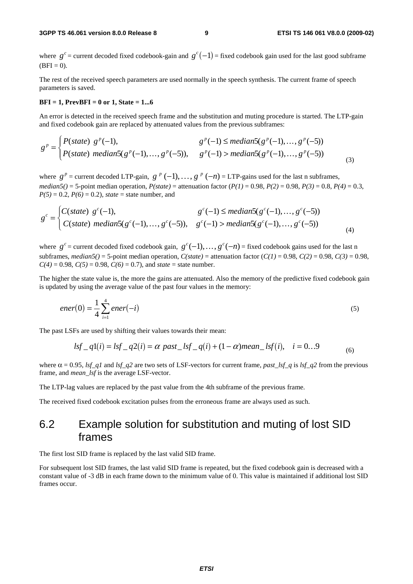where  $g^c$  = current decoded fixed codebook-gain and  $g^c(-1)$  = fixed codebook gain used for the last good subframe  $(BFI = 0)$ .

The rest of the received speech parameters are used normally in the speech synthesis. The current frame of speech parameters is saved.

#### **BFI = 1, PrevBFI = 0 or 1, State = 1...6**

An error is detected in the received speech frame and the substitution and muting procedure is started. The LTP-gain and fixed codebook gain are replaced by attenuated values from the previous subframes:

$$
g^{p} = \begin{cases} P(state) & g^{p}(-1), & g^{p}(-1) \leq median5(g^{p}(-1), ..., g^{p}(-5)) \\ P(state) & median5(g^{p}(-1), ..., g^{p}(-5)), & g^{p}(-1) > median5(g^{p}(-1), ..., g^{p}(-5)) \end{cases}
$$
(3)

where  $g^p$  = current decoded LTP-gain,  $g^p$  (-1), ...,  $g^p$  (-n) = LTP-gains used for the last n subframes, *median5()* = 5-point median operation,  $P(state)$  = attenuation factor  $(P(1) = 0.98, P(2) = 0.98, P(3) = 0.8, P(4) = 0.3$ ,  $P(5) = 0.2$ ,  $P(6) = 0.2$ ), *state* = state number, and

$$
g^{c} = \begin{cases} C(state) & g^{c}(-1), & g^{c}(-1) \leq median5(g^{c}(-1),...,g^{c}(-5)) \\ C(state) & median5(g^{c}(-1),...,g^{c}(-5)), & g^{c}(-1) > median5(g^{c}(-1),...,g^{c}(-5)) \end{cases}
$$
(4)

where  $g^c$  = current decoded fixed codebook gain,  $g^c(-1)$ , ...,  $g^c(-n)$  = fixed codebook gains used for the last n subframes,  $median5() = 5$ -point median operation,  $C(state) =$  attenuation factor  $(C(1) = 0.98, C(2) = 0.98, C(3) = 0.98$ ,  $C(4) = 0.98$ ,  $C(5) = 0.98$ ,  $C(6) = 0.7$ ), and *state* = state number.

The higher the state value is, the more the gains are attenuated. Also the memory of the predictive fixed codebook gain is updated by using the average value of the past four values in the memory:

$$
ener(0) = \frac{1}{4} \sum_{i=1}^{4} ener(-i)
$$
 (5)

The past LSFs are used by shifting their values towards their mean:

$$
lsf_{-}q1(i) = lsf_{-}q2(i) = \alpha \ past_{-}lsf_{-}q(i) + (1 - \alpha)mean_{-}lsf(i), \quad i = 0...9
$$
 (6)

where  $\alpha = 0.95$ , *lsf\_q1* and *lsf\_q2* are two sets of LSF-vectors for current frame, *past\_lsf\_q* is *lsf\_q2* from the previous frame, and *mean\_lsf* is the average LSF-vector.

The LTP-lag values are replaced by the past value from the 4th subframe of the previous frame.

The received fixed codebook excitation pulses from the erroneous frame are always used as such.

# 6.2 Example solution for substitution and muting of lost SID frames

The first lost SID frame is replaced by the last valid SID frame.

For subsequent lost SID frames, the last valid SID frame is repeated, but the fixed codebook gain is decreased with a constant value of -3 dB in each frame down to the minimum value of 0. This value is maintained if additional lost SID frames occur.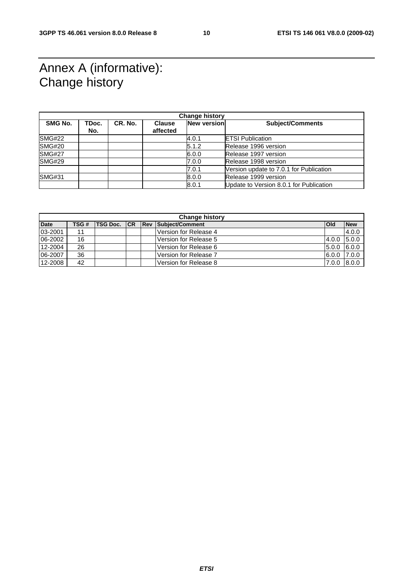# Annex A (informative): Change history

| <b>Change history</b> |              |         |                           |                    |                                         |  |
|-----------------------|--------------|---------|---------------------------|--------------------|-----------------------------------------|--|
| SMG No.               | TDoc.<br>No. | CR. No. | <b>Clause</b><br>affected | <b>New version</b> | <b>Subject/Comments</b>                 |  |
| SMG#22                |              |         |                           | 4.0.1              | <b>IETSI Publication</b>                |  |
| <b>SMG#20</b>         |              |         |                           | 5.1.2              | Release 1996 version                    |  |
| <b>SMG#27</b>         |              |         |                           | 6.0.0              | Release 1997 version                    |  |
| <b>SMG#29</b>         |              |         |                           | 7.0.0              | Release 1998 version                    |  |
|                       |              |         |                           | 7.0.1              | Version update to 7.0.1 for Publication |  |
| <b>SMG#31</b>         |              |         |                           | 8.0.0              | Release 1999 version                    |  |
|                       |              |         |                           | 8.0.1              | Update to Version 8.0.1 for Publication |  |

| <b>Change history</b> |      |                 |     |  |                            |               |            |
|-----------------------|------|-----------------|-----|--|----------------------------|---------------|------------|
| <b>Date</b>           | TSG# | <b>TSG Doc.</b> | ICR |  | <b>Rev Subject/Comment</b> | <b>Old</b>    | <b>New</b> |
| 03-2001               | 11   |                 |     |  | Version for Release 4      |               | 4.0.0      |
| 06-2002               | 16   |                 |     |  | Version for Release 5      | 4.0.0         | 5.0.0      |
| 12-2004               | 26   |                 |     |  | Version for Release 6      | 5.0.0         | 6.0.0      |
| 06-2007               | 36   |                 |     |  | Version for Release 7      | $6.0.0$ 7.0.0 |            |
| 12-2008               | 42   |                 |     |  | Version for Release 8      | 7.0.0         | 8.0.0      |